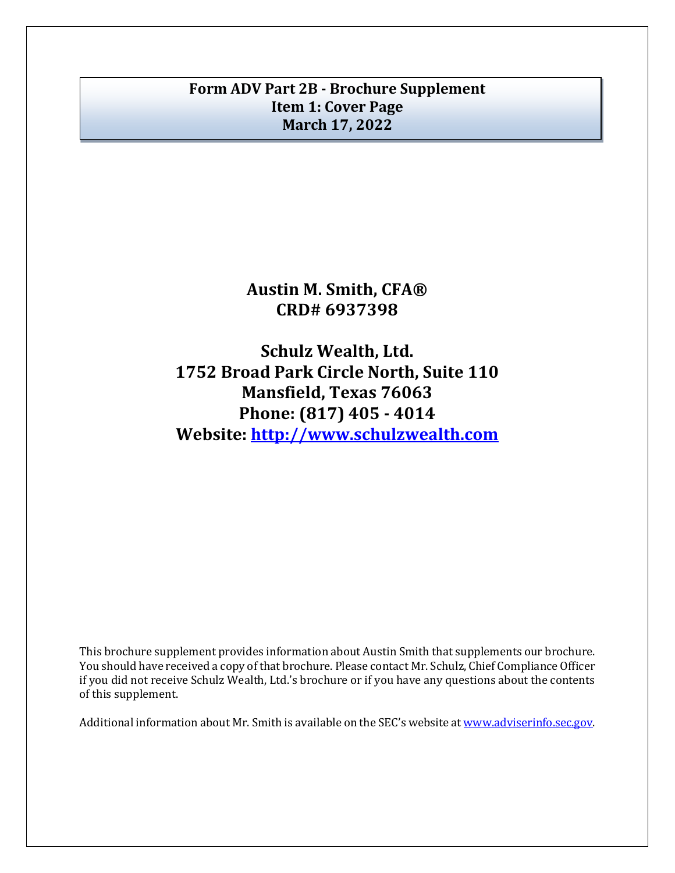# **Form ADV Part 2B - Brochure Supplement Item 1: Cover Page March 17, 2022**

**Austin M. Smith, CFA® CRD# 6937398**

**Schulz Wealth, Ltd. 1752 Broad Park Circle North, Suite 110 Mansfield, Texas 76063 Phone: (817) 405 - 4014 Website: [http://www.schulzwealth.com](http://www.schulzwealth.com/)**

This brochure supplement provides information about Austin Smith that supplements our brochure. You should have received a copy of that brochure. Please contact Mr. Schulz, Chief Compliance Officer if you did not receive Schulz Wealth, Ltd.'s brochure or if you have any questions about the contents of this supplement.

Additional information about Mr. Smith is available on the SEC's website at [www.adviserinfo.sec.gov.](http://www.adviserinfo.sec.gov/)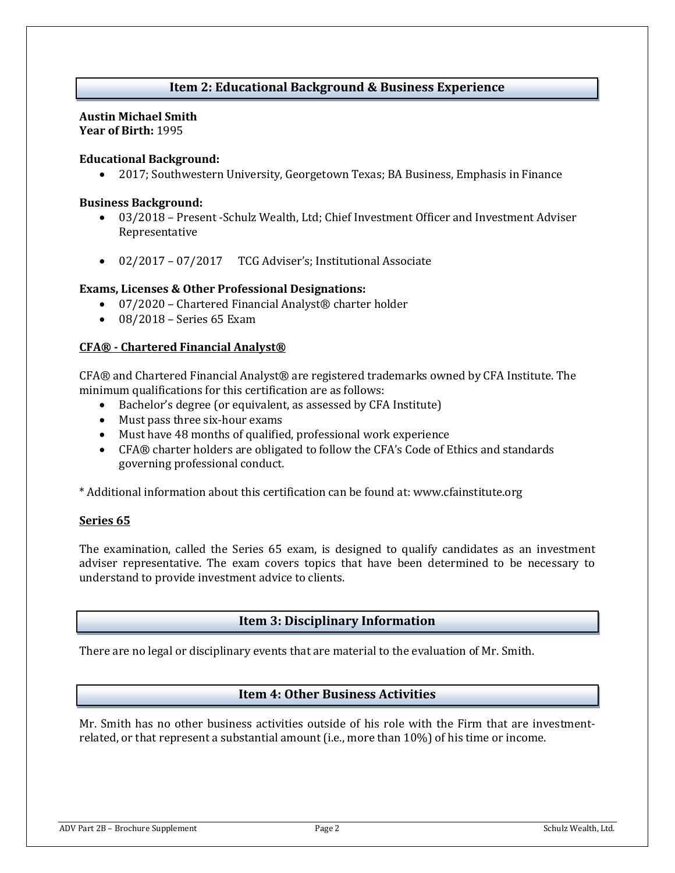# **Item 2: Educational Background & Business Experience**

#### **Austin Michael Smith Year of Birth:** 1995

## **Educational Background:**

• 2017; Southwestern University, Georgetown Texas; BA Business, Emphasis in Finance

#### **Business Background:**

- 03/2018 Present -Schulz Wealth, Ltd; Chief Investment Officer and Investment Adviser Representative
- 02/2017 07/2017 TCG Adviser's; Institutional Associate

#### **Exams, Licenses & Other Professional Designations:**

- 07/2020 Chartered Financial Analyst® charter holder
- 08/2018 Series 65 Exam

#### **CFA® - Chartered Financial Analyst®**

CFA® and Chartered Financial Analyst® are registered trademarks owned by CFA Institute. The minimum qualifications for this certification are as follows:

- Bachelor's degree (or equivalent, as assessed by CFA Institute)
- Must pass three six-hour exams
- Must have 48 months of qualified, professional work experience
- CFA® charter holders are obligated to follow the CFA's Code of Ethics and standards governing professional conduct.

\* Additional information about this certification can be found at: www.cfainstitute.org

## **Series 65**

The examination, called the Series 65 exam, is designed to qualify candidates as an investment adviser representative. The exam covers topics that have been determined to be necessary to understand to provide investment advice to clients.

## **Item 3: Disciplinary Information**

There are no legal or disciplinary events that are material to the evaluation of Mr. Smith.

## **Item 4: Other Business Activities**

Mr. Smith has no other business activities outside of his role with the Firm that are investmentrelated, or that represent a substantial amount (i.e., more than 10%) of his time or income.